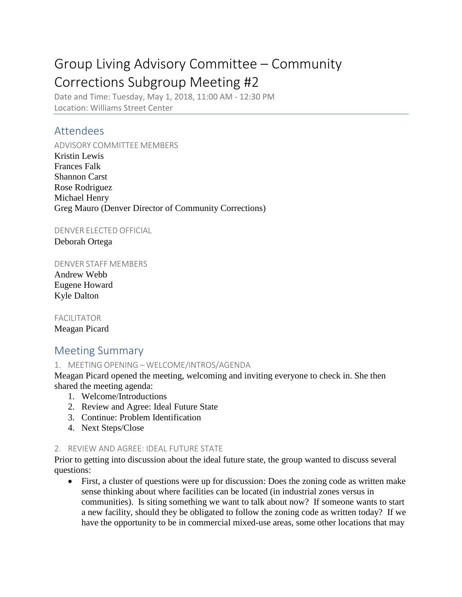# Group Living Advisory Committee – Community Corrections Subgroup Meeting #2

Date and Time: Tuesday, May 1, 2018, 11:00 AM - 12:30 PM Location: Williams Street Center

# Attendees

ADVISORY COMMITTEE MEMBERS Kristin Lewis Frances Falk Shannon Carst Rose Rodriguez Michael Henry Greg Mauro (Denver Director of Community Corrections)

DENVER ELECTED OFFICIAL

Deborah Ortega

#### DENVER STAFF MEMBERS

Andrew Webb Eugene Howard Kyle Dalton

# FACILITATOR

Meagan Picard

# Meeting Summary

## 1. MEETING OPENING – WELCOME/INTROS/AGENDA

Meagan Picard opened the meeting, welcoming and inviting everyone to check in. She then shared the meeting agenda:

- 1. Welcome/Introductions
- 2. Review and Agree: Ideal Future State
- 3. Continue: Problem Identification
- 4. Next Steps/Close

#### 2. REVIEW AND AGREE: IDEAL FUTURE STATE

Prior to getting into discussion about the ideal future state, the group wanted to discuss several questions:

• First, a cluster of questions were up for discussion: Does the zoning code as written make sense thinking about where facilities can be located (in industrial zones versus in communities). Is siting something we want to talk about now? If someone wants to start a new facility, should they be obligated to follow the zoning code as written today? If we have the opportunity to be in commercial mixed-use areas, some other locations that may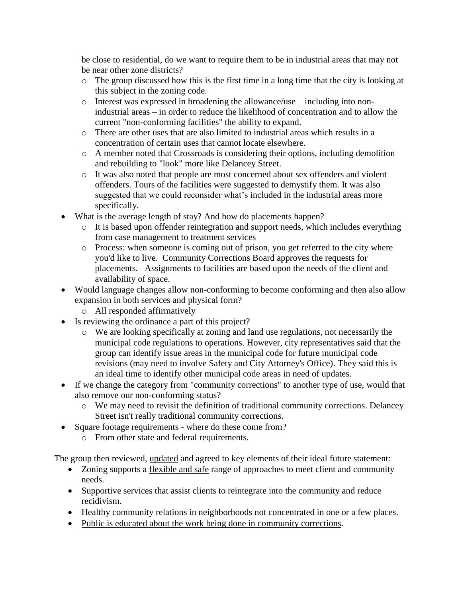be close to residential, do we want to require them to be in industrial areas that may not be near other zone districts?

- o The group discussed how this is the first time in a long time that the city is looking at this subject in the zoning code.
- o Interest was expressed in broadening the allowance/use including into nonindustrial areas – in order to reduce the likelihood of concentration and to allow the current "non-conforming facilities" the ability to expand.
- o There are other uses that are also limited to industrial areas which results in a concentration of certain uses that cannot locate elsewhere.
- o A member noted that Crossroads is considering their options, including demolition and rebuilding to "look" more like Delancey Street.
- o It was also noted that people are most concerned about sex offenders and violent offenders. Tours of the facilities were suggested to demystify them. It was also suggested that we could reconsider what's included in the industrial areas more specifically.
- What is the average length of stay? And how do placements happen?
	- o It is based upon offender reintegration and support needs, which includes everything from case management to treatment services
	- o Process: when someone is coming out of prison, you get referred to the city where you'd like to live. Community Corrections Board approves the requests for placements. Assignments to facilities are based upon the needs of the client and availability of space.
- Would language changes allow non-conforming to become conforming and then also allow expansion in both services and physical form?
	- o All responded affirmatively
- Is reviewing the ordinance a part of this project?
	- o We are looking specifically at zoning and land use regulations, not necessarily the municipal code regulations to operations. However, city representatives said that the group can identify issue areas in the municipal code for future municipal code revisions (may need to involve Safety and City Attorney's Office). They said this is an ideal time to identify other municipal code areas in need of updates.
- If we change the category from "community corrections" to another type of use, would that also remove our non-conforming status?
	- o We may need to revisit the definition of traditional community corrections. Delancey Street isn't really traditional community corrections.
- Square footage requirements where do these come from?
	- o From other state and federal requirements.

The group then reviewed, updated and agreed to key elements of their ideal future statement:

- Zoning supports a flexible and safe range of approaches to meet client and community needs.
- Supportive services that assist clients to reintegrate into the community and reduce recidivism.
- Healthy community relations in neighborhoods not concentrated in one or a few places.
- Public is educated about the work being done in community corrections.